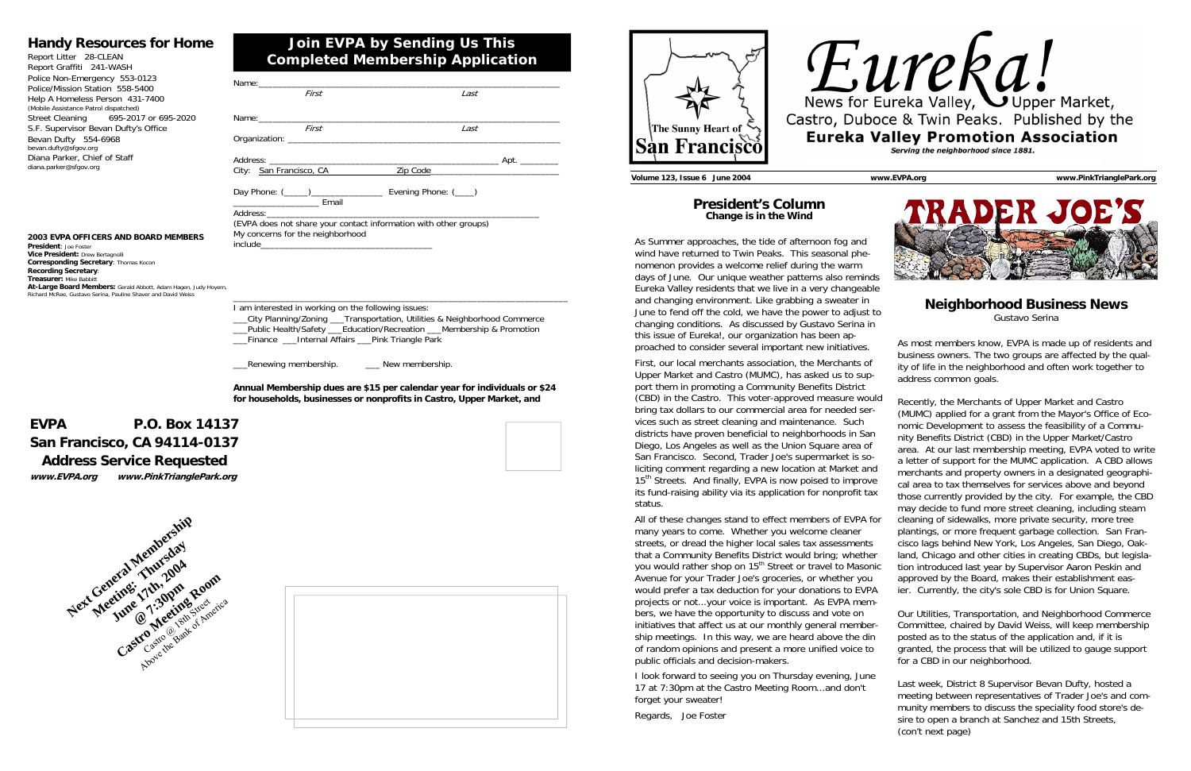| First                                                                                                | Last |  |  |  |  |
|------------------------------------------------------------------------------------------------------|------|--|--|--|--|
|                                                                                                      |      |  |  |  |  |
|                                                                                                      |      |  |  |  |  |
| First                                                                                                | Last |  |  |  |  |
|                                                                                                      |      |  |  |  |  |
|                                                                                                      |      |  |  |  |  |
|                                                                                                      |      |  |  |  |  |
|                                                                                                      |      |  |  |  |  |
| Day Phone: (_____)__________________________ Evening Phone: (____)<br><b>Email</b> Email             |      |  |  |  |  |
|                                                                                                      |      |  |  |  |  |
| (EVPA does not share your contact information with other groups)<br>My concerns for the neighborhood |      |  |  |  |  |
|                                                                                                      |      |  |  |  |  |
|                                                                                                      |      |  |  |  |  |
|                                                                                                      |      |  |  |  |  |

\_\_\_\_\_\_\_\_\_\_\_\_\_\_\_\_\_\_\_\_\_\_\_\_\_\_\_\_\_\_\_\_\_\_\_\_\_\_\_\_\_\_\_\_\_\_\_\_\_\_\_\_\_\_\_\_\_\_\_\_\_\_\_\_\_\_\_\_\_\_

Lenewing membership. The Mew membership

I am interested in working on the following issues: \_\_\_City Planning/Zoning \_\_\_Transportation, Utilities & Neighborhood Commerce \_\_\_Public Health/Safety \_\_\_Education/Recreation \_\_\_Membership & Promotion \_\_\_Finance \_\_\_Internal Affairs \_\_\_Pink Triangle Park

**President: Joe Foste Vice President:** Drew Bertagnolli **Corresponding Secretary**: Thomas Kocon **Recording Secretary**: **Treasurer:** Mike Babbitt **At-Large Board Members:** Gerald Abbott, Adam Hagen, Judy Hoyem, Richard McRee, Gustavo Serina, Pauline Shaver and David Weiss

> **Annual Membership dues are \$15 per calendar year for individuals or \$24 for households, businesses or nonprofits in Castro, Upper Market, and**

## **Join EVPA by Sending Us This Completed Membership Application**

## **Handy Resources for Home**

| Report Litter 28-CLEAN                |  |  |  |  |  |
|---------------------------------------|--|--|--|--|--|
| Report Graffiti 241-WASH              |  |  |  |  |  |
| Police Non-Emergency 553-0123         |  |  |  |  |  |
| Police/Mission Station 558-5400       |  |  |  |  |  |
| Help A Homeless Person 431-7400       |  |  |  |  |  |
| (Mobile Assistance Patrol dispatched) |  |  |  |  |  |
| Street Cleaning 695-2017 or 695-2020  |  |  |  |  |  |
| S.F. Supervisor Bevan Dufty's Office  |  |  |  |  |  |
| Bevan Dufty 554-6968                  |  |  |  |  |  |
| bevan.dufty@sfgov.org                 |  |  |  |  |  |
| Diana Parker, Chief of Staff          |  |  |  |  |  |
| diana.parker@sfgov.org                |  |  |  |  |  |

## **EVPA P.O. Box 14137 San Francisco, CA 94114-0137 Address Service Requested www.EVPA.org www.PinkTrianglePark.org**



#### **2003 EVPA OFFICERS AND BOARD MEMBERS**





#### **President's Column Change is in the Wind**

As Summer approaches, the tide of afternoon fog and wind have returned to Twin Peaks. This seasonal phenomenon provides a welcome relief during the warm days of June. Our unique weather patterns also reminds Eureka Valley residents that we live in a very changeable and changing environment. Like grabbing a sweater in June to fend off the cold, we have the power to adjust to changing conditions. As discussed by Gustavo Serina in this issue of Eureka!, our organization has been approached to consider several important new initiatives.

First, our local merchants association, the Merchants of Upper Market and Castro (MUMC), has asked us to support them in promoting a Community Benefits District (CBD) in the Castro. This voter-approved measure would bring tax dollars to our commercial area for needed services such as street cleaning and maintenance. Such districts have proven beneficial to neighborhoods in San Diego, Los Angeles as well as the Union Square area of San Francisco. Second, Trader Joe's supermarket is soliciting comment regarding a new location at Market and 15<sup>th</sup> Streets. And finally, EVPA is now poised to improve its fund-raising ability via its application for nonprofit tax status. All of these changes stand to effect members of EVPA for many years to come. Whether you welcome cleaner streets, or dread the higher local sales tax assessments that a Community Benefits District would bring; whether you would rather shop on 15<sup>th</sup> Street or travel to Masonic Avenue for your Trader Joe's groceries, or whether you ity of life in the neighborhood and often work together to address common goals. Recently, the Merchants of Upper Market and Castro (MUMC) applied for a grant from the Mayor's Office of Economic Development to assess the feasibility of a Community Benefits District (CBD) in the Upper Market/Castro area. At our last membership meeting, EVPA voted to write a letter of support for the MUMC application. A CBD allows merchants and property owners in a designated geographical area to tax themselves for services above and beyond those currently provided by the city. For example, the CBD may decide to fund more street cleaning, including steam cleaning of sidewalks, more private security, more tree plantings, or more frequent garbage collection. San Francisco lags behind New York, Los Angeles, San Diego, Oakland, Chicago and other cities in creating CBDs, but legislation introduced last year by Supervisor Aaron Peskin and approved by the Board, makes their establishment eas-

I look forward to seeing you on Thursday evening, June 17 at 7:30pm at the Castro Meeting Room...and don't forget your sweater!

Regards, Joe Foster





### **Neighborhood Business News**

Gustavo Serina

As most members know, EVPA is made up of residents and business owners. The two groups are affected by the qual-

would prefer a tax deduction for your donations to EVPA projects or not...your voice is important. As EVPA members, we have the opportunity to discuss and vote on initiatives that affect us at our monthly general membership meetings. In this way, we are heard above the din of random opinions and present a more unified voice to public officials and decision-makers. ier. Currently, the city's sole CBD is for Union Square. Our Utilities, Transportation, and Neighborhood Commerce Committee, chaired by David Weiss, will keep membership posted as to the status of the application and, if it is granted, the process that will be utilized to gauge support for a CBD in our neighborhood.

> Last week, District 8 Supervisor Bevan Dufty, hosted a meeting between representatives of Trader Joe's and community members to discuss the speciality food store's desire to open a branch at Sanchez and 15th Streets, (con't next page)

**Volume 123, Issue 6 June 2004 www.EVPA.org www.PinkTrianglePark.org**